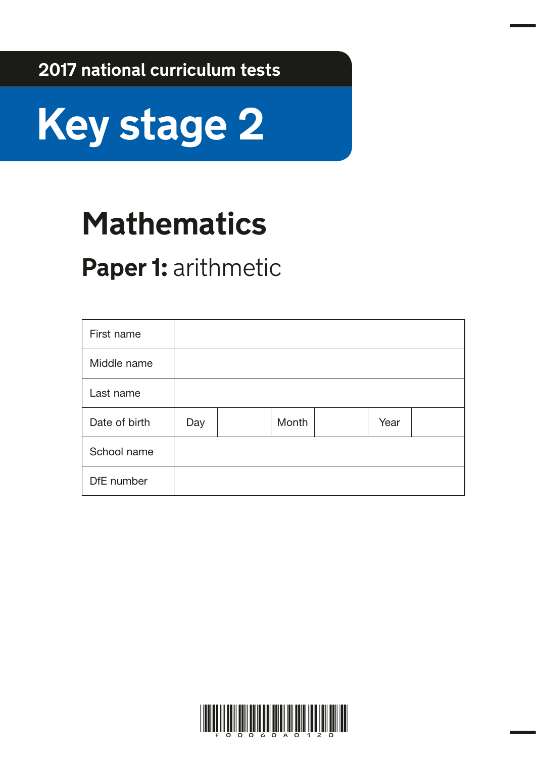**2017 national curriculum tests**



# **Mathematics**

## **Paper 1:** arithmetic

| First name    |     |       |      |  |
|---------------|-----|-------|------|--|
| Middle name   |     |       |      |  |
| Last name     |     |       |      |  |
| Date of birth | Day | Month | Year |  |
| School name   |     |       |      |  |
| DfE number    |     |       |      |  |

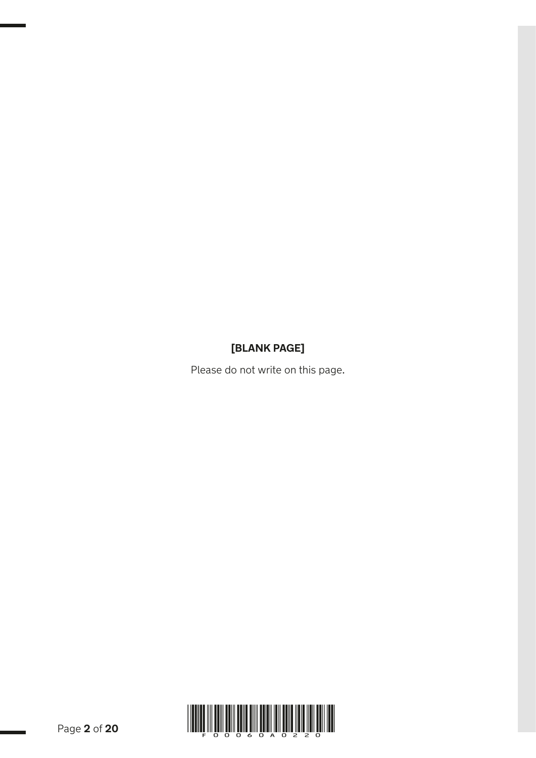## **[BLANK PAGE]**

Please do not write on this page.

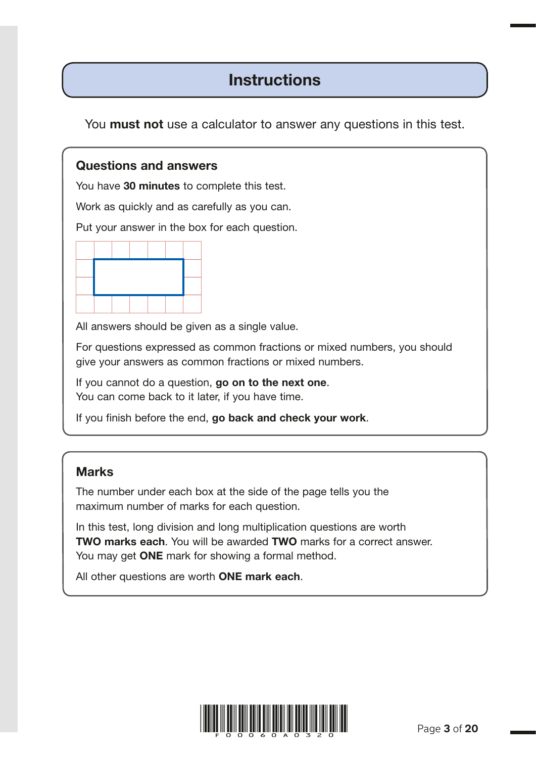## **Instructions**

You **must not** use a calculator to answer any questions in this test.

#### Questions and answers

You have 30 minutes to complete this test.

Work as quickly and as carefully as you can.

Put your answer in the box for each question.



All answers should be given as a single value.

For questions expressed as common fractions or mixed numbers, you should give your answers as common fractions or mixed numbers.

If you cannot do a question, go on to the next one. You can come back to it later, if you have time.

If you finish before the end, go back and check your work.

#### Marks

The number under each box at the side of the page tells you the maximum number of marks for each question.

In this test, long division and long multiplication questions are worth TWO marks each. You will be awarded TWO marks for a correct answer. You may get **ONE** mark for showing a formal method.

All other questions are worth ONE mark each.

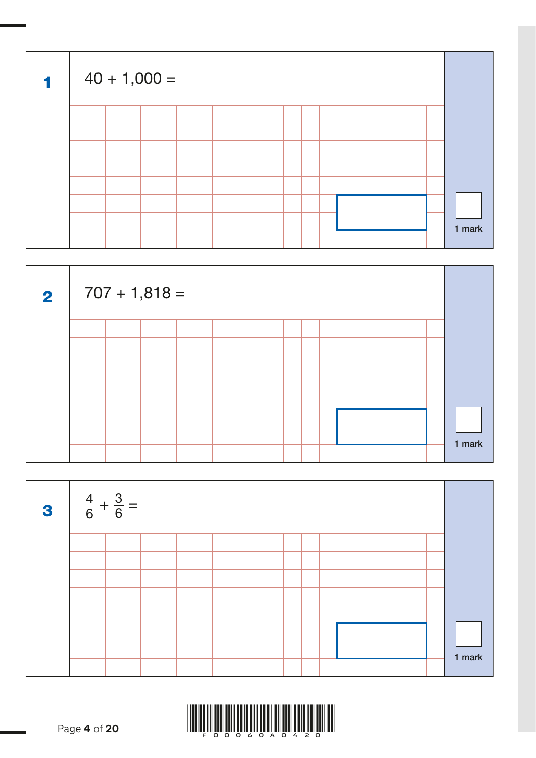| $\blacktriangleleft$ | $40 + 1,000 =$ |  |  |  |  |  |  |  |  |        |
|----------------------|----------------|--|--|--|--|--|--|--|--|--------|
|                      |                |  |  |  |  |  |  |  |  |        |
|                      |                |  |  |  |  |  |  |  |  |        |
|                      |                |  |  |  |  |  |  |  |  |        |
|                      |                |  |  |  |  |  |  |  |  |        |
|                      |                |  |  |  |  |  |  |  |  |        |
|                      |                |  |  |  |  |  |  |  |  |        |
|                      |                |  |  |  |  |  |  |  |  | 1 mark |
|                      |                |  |  |  |  |  |  |  |  |        |





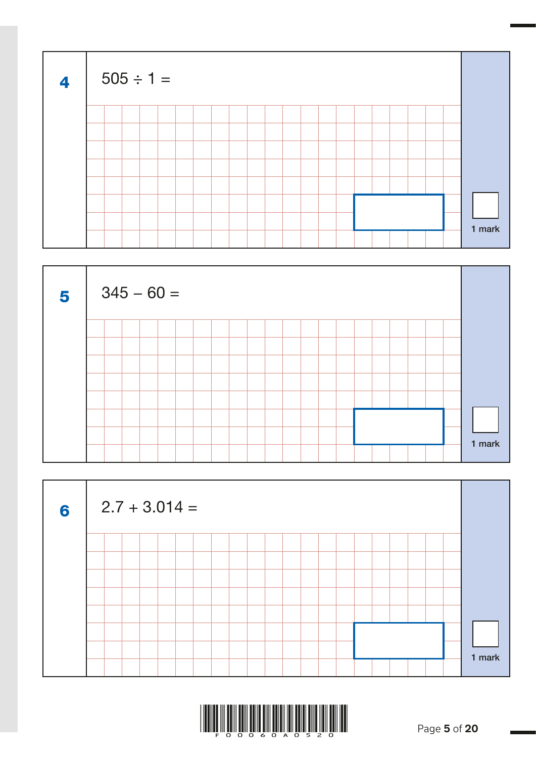| $\overline{\mathbf{4}}$ | $505 \div 1 =$ |  |  |  |  |  |  |  |  |  |        |
|-------------------------|----------------|--|--|--|--|--|--|--|--|--|--------|
|                         |                |  |  |  |  |  |  |  |  |  |        |
|                         |                |  |  |  |  |  |  |  |  |  |        |
|                         |                |  |  |  |  |  |  |  |  |  |        |
|                         |                |  |  |  |  |  |  |  |  |  |        |
|                         |                |  |  |  |  |  |  |  |  |  |        |
|                         |                |  |  |  |  |  |  |  |  |  |        |
|                         |                |  |  |  |  |  |  |  |  |  | 1 mark |
|                         |                |  |  |  |  |  |  |  |  |  |        |





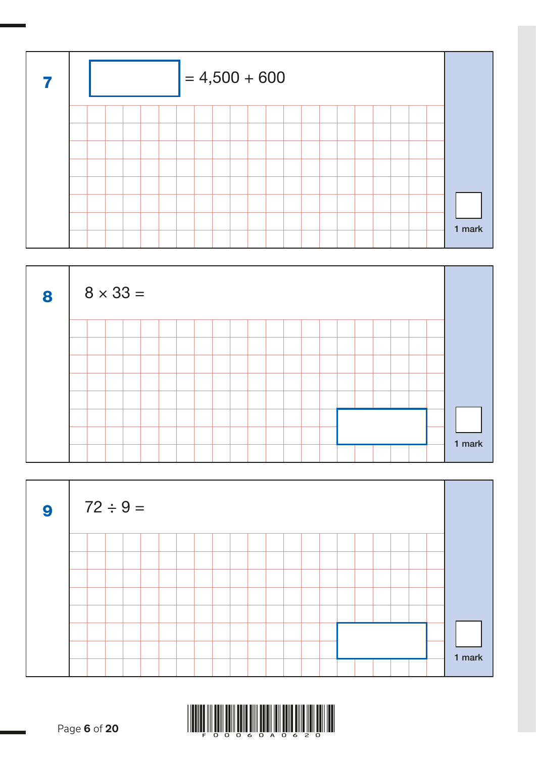





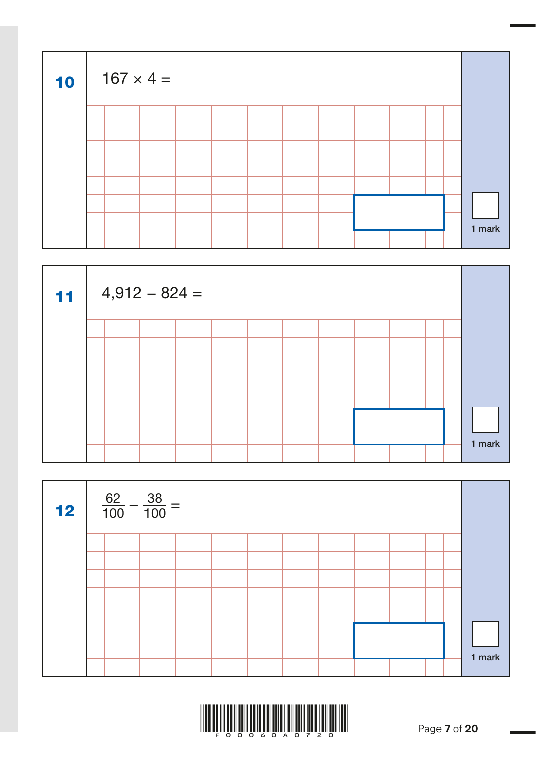| 10 |  | $167 \times 4 =$ |  |  |  |  |  |  |  |  |        |  |
|----|--|------------------|--|--|--|--|--|--|--|--|--------|--|
|    |  |                  |  |  |  |  |  |  |  |  |        |  |
|    |  |                  |  |  |  |  |  |  |  |  |        |  |
|    |  |                  |  |  |  |  |  |  |  |  |        |  |
|    |  |                  |  |  |  |  |  |  |  |  |        |  |
|    |  |                  |  |  |  |  |  |  |  |  |        |  |
|    |  |                  |  |  |  |  |  |  |  |  |        |  |
|    |  |                  |  |  |  |  |  |  |  |  | 1 mark |  |
|    |  |                  |  |  |  |  |  |  |  |  |        |  |





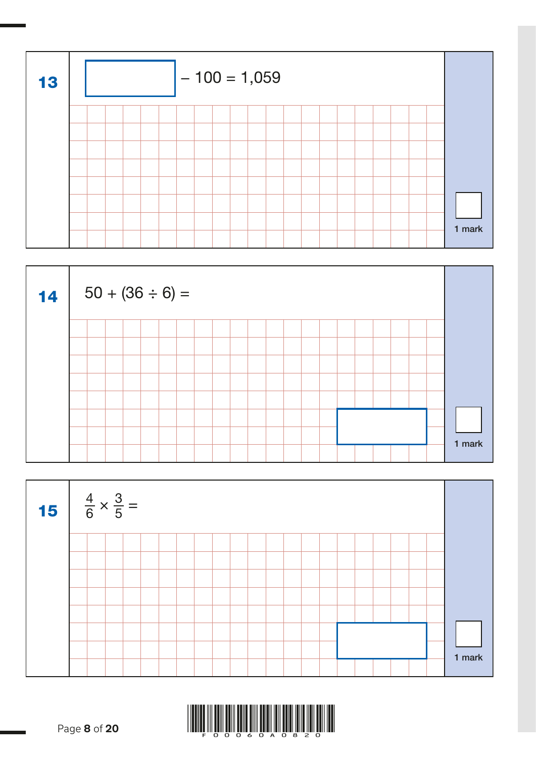





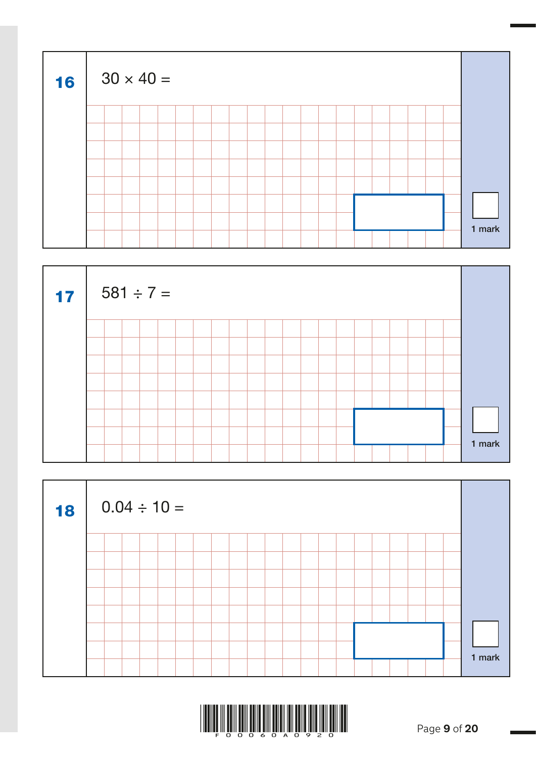| 16 | $30 \times 40 =$ |  |  |  |  |  |  |  |  |  |        |  |
|----|------------------|--|--|--|--|--|--|--|--|--|--------|--|
|    |                  |  |  |  |  |  |  |  |  |  |        |  |
|    |                  |  |  |  |  |  |  |  |  |  |        |  |
|    |                  |  |  |  |  |  |  |  |  |  |        |  |
|    |                  |  |  |  |  |  |  |  |  |  |        |  |
|    |                  |  |  |  |  |  |  |  |  |  |        |  |
|    |                  |  |  |  |  |  |  |  |  |  |        |  |
|    |                  |  |  |  |  |  |  |  |  |  | 1 mark |  |
|    |                  |  |  |  |  |  |  |  |  |  |        |  |





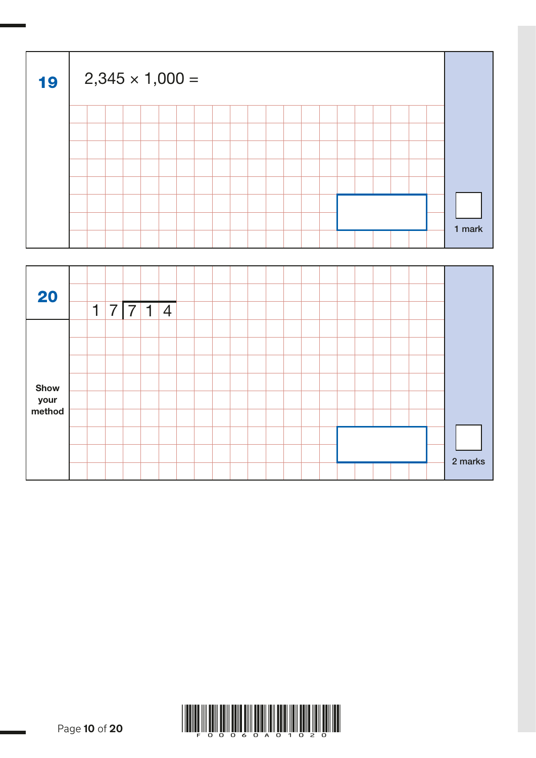| 19 |  | $2,345 \times 1,000 =$ |  |  |  |  |  |  |  |  |        |
|----|--|------------------------|--|--|--|--|--|--|--|--|--------|
|    |  |                        |  |  |  |  |  |  |  |  |        |
|    |  |                        |  |  |  |  |  |  |  |  |        |
|    |  |                        |  |  |  |  |  |  |  |  |        |
|    |  |                        |  |  |  |  |  |  |  |  |        |
|    |  |                        |  |  |  |  |  |  |  |  |        |
|    |  |                        |  |  |  |  |  |  |  |  |        |
|    |  |                        |  |  |  |  |  |  |  |  | 1 mark |
|    |  |                        |  |  |  |  |  |  |  |  |        |

| 20          |   |   |   |   |                |  |  |  |  |  |  |  |         |
|-------------|---|---|---|---|----------------|--|--|--|--|--|--|--|---------|
|             | 1 | 7 | 7 | 1 | $\overline{4}$ |  |  |  |  |  |  |  |         |
|             |   |   |   |   |                |  |  |  |  |  |  |  |         |
|             |   |   |   |   |                |  |  |  |  |  |  |  |         |
|             |   |   |   |   |                |  |  |  |  |  |  |  |         |
| <b>Show</b> |   |   |   |   |                |  |  |  |  |  |  |  |         |
| your        |   |   |   |   |                |  |  |  |  |  |  |  |         |
| method      |   |   |   |   |                |  |  |  |  |  |  |  |         |
|             |   |   |   |   |                |  |  |  |  |  |  |  |         |
|             |   |   |   |   |                |  |  |  |  |  |  |  | 2 marks |
|             |   |   |   |   |                |  |  |  |  |  |  |  |         |

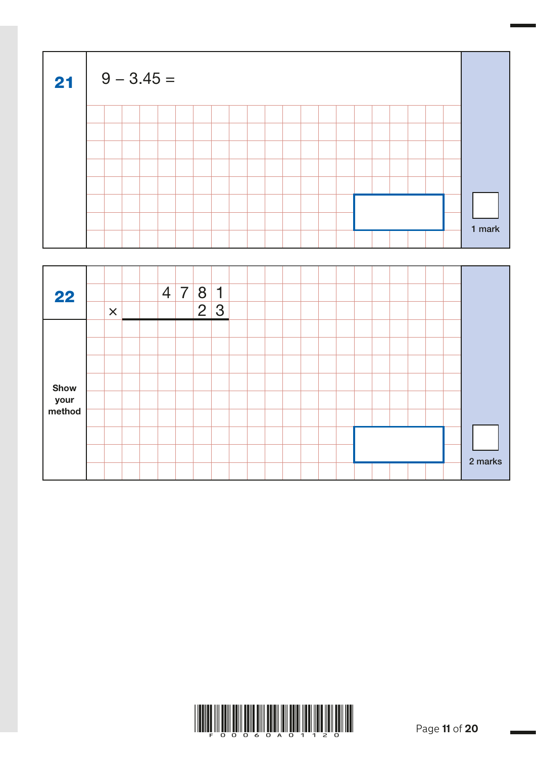| 21 |  | $9 - 3.45 =$ |  |  |  |  |  |  |  |  |        |  |
|----|--|--------------|--|--|--|--|--|--|--|--|--------|--|
|    |  |              |  |  |  |  |  |  |  |  |        |  |
|    |  |              |  |  |  |  |  |  |  |  |        |  |
|    |  |              |  |  |  |  |  |  |  |  |        |  |
|    |  |              |  |  |  |  |  |  |  |  |        |  |
|    |  |              |  |  |  |  |  |  |  |  |        |  |
|    |  |              |  |  |  |  |  |  |  |  |        |  |
|    |  |              |  |  |  |  |  |  |  |  |        |  |
|    |  |              |  |  |  |  |  |  |  |  | 1 mark |  |

| 22                     | $\pmb{\times}$ |  | $\vert 4 \vert$ | $\overline{7}$ | 8<br>$\overline{2}$ | $\mathbf 1$<br> 3 |  |  |  |  |  |  |         |
|------------------------|----------------|--|-----------------|----------------|---------------------|-------------------|--|--|--|--|--|--|---------|
|                        |                |  |                 |                |                     |                   |  |  |  |  |  |  |         |
| Show<br>your<br>method |                |  |                 |                |                     |                   |  |  |  |  |  |  |         |
|                        |                |  |                 |                |                     |                   |  |  |  |  |  |  |         |
|                        |                |  |                 |                |                     |                   |  |  |  |  |  |  | 2 marks |

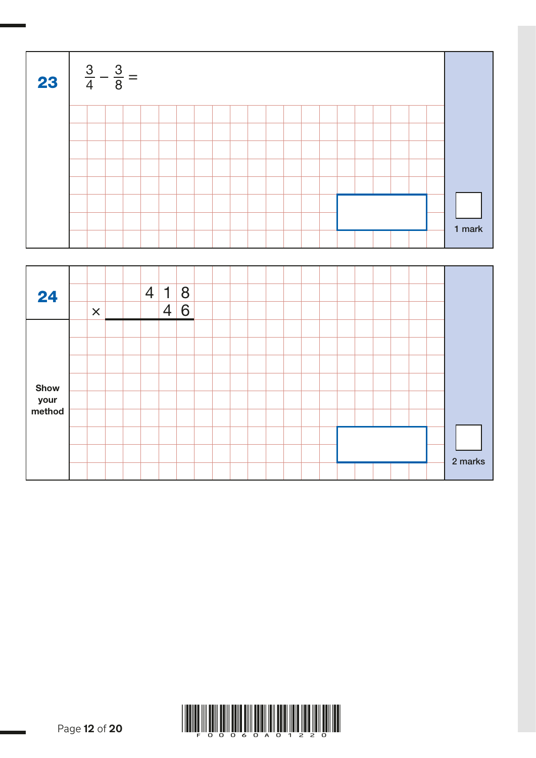| 23 | $\frac{3}{4} - \frac{3}{8} =$ |  |  |  |  |  |  |  |  |  |  |        |  |
|----|-------------------------------|--|--|--|--|--|--|--|--|--|--|--------|--|
|    |                               |  |  |  |  |  |  |  |  |  |  |        |  |
|    |                               |  |  |  |  |  |  |  |  |  |  |        |  |
|    |                               |  |  |  |  |  |  |  |  |  |  |        |  |
|    |                               |  |  |  |  |  |  |  |  |  |  |        |  |
|    |                               |  |  |  |  |  |  |  |  |  |  |        |  |
|    |                               |  |  |  |  |  |  |  |  |  |  |        |  |
|    |                               |  |  |  |  |  |  |  |  |  |  |        |  |
|    |                               |  |  |  |  |  |  |  |  |  |  | 1 mark |  |

| 24     |                       |  | $\overline{4}$ | $\mathbf 1$    | 8 |  |  |  |  |  |  |  |         |
|--------|-----------------------|--|----------------|----------------|---|--|--|--|--|--|--|--|---------|
|        | $\boldsymbol{\times}$ |  |                | $\overline{4}$ | 6 |  |  |  |  |  |  |  |         |
|        |                       |  |                |                |   |  |  |  |  |  |  |  |         |
|        |                       |  |                |                |   |  |  |  |  |  |  |  |         |
|        |                       |  |                |                |   |  |  |  |  |  |  |  |         |
| Show   |                       |  |                |                |   |  |  |  |  |  |  |  |         |
| your   |                       |  |                |                |   |  |  |  |  |  |  |  |         |
| method |                       |  |                |                |   |  |  |  |  |  |  |  |         |
|        |                       |  |                |                |   |  |  |  |  |  |  |  |         |
|        |                       |  |                |                |   |  |  |  |  |  |  |  | 2 marks |
|        |                       |  |                |                |   |  |  |  |  |  |  |  |         |

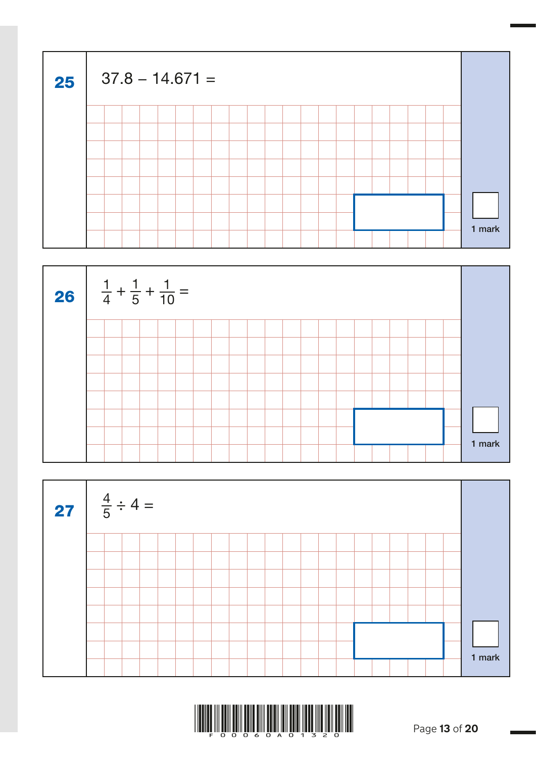| 25 | $37.8 - 14.671 =$ |  |  |  |  |  |  |  |  |  |        |
|----|-------------------|--|--|--|--|--|--|--|--|--|--------|
|    |                   |  |  |  |  |  |  |  |  |  |        |
|    |                   |  |  |  |  |  |  |  |  |  |        |
|    |                   |  |  |  |  |  |  |  |  |  |        |
|    |                   |  |  |  |  |  |  |  |  |  |        |
|    |                   |  |  |  |  |  |  |  |  |  |        |
|    |                   |  |  |  |  |  |  |  |  |  |        |
|    |                   |  |  |  |  |  |  |  |  |  | 1 mark |
|    |                   |  |  |  |  |  |  |  |  |  |        |





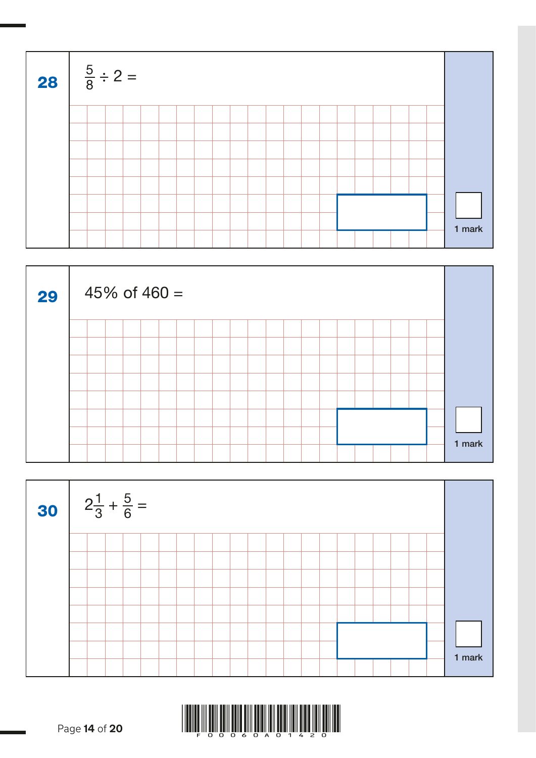| <b>28</b> $\frac{5}{8} \div 2 =$ |  |  |  |  |  |  |  |  |  |  |  |  |  |  |  |  |        |  |
|----------------------------------|--|--|--|--|--|--|--|--|--|--|--|--|--|--|--|--|--------|--|
|                                  |  |  |  |  |  |  |  |  |  |  |  |  |  |  |  |  |        |  |
|                                  |  |  |  |  |  |  |  |  |  |  |  |  |  |  |  |  |        |  |
|                                  |  |  |  |  |  |  |  |  |  |  |  |  |  |  |  |  |        |  |
|                                  |  |  |  |  |  |  |  |  |  |  |  |  |  |  |  |  |        |  |
|                                  |  |  |  |  |  |  |  |  |  |  |  |  |  |  |  |  |        |  |
|                                  |  |  |  |  |  |  |  |  |  |  |  |  |  |  |  |  |        |  |
|                                  |  |  |  |  |  |  |  |  |  |  |  |  |  |  |  |  | 1 mark |  |
|                                  |  |  |  |  |  |  |  |  |  |  |  |  |  |  |  |  |        |  |





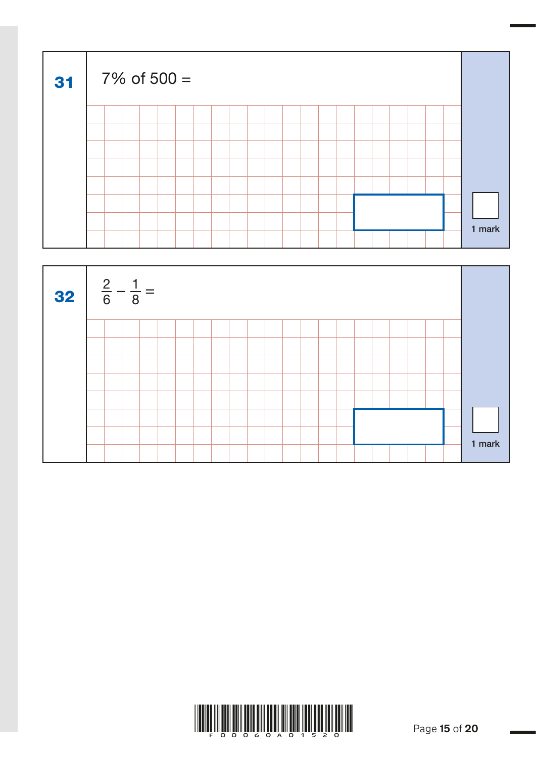| 31 |  | $7\%$ of 500 = |  |  |  |  |  |  |  |  |        |  |
|----|--|----------------|--|--|--|--|--|--|--|--|--------|--|
|    |  |                |  |  |  |  |  |  |  |  |        |  |
|    |  |                |  |  |  |  |  |  |  |  |        |  |
|    |  |                |  |  |  |  |  |  |  |  |        |  |
|    |  |                |  |  |  |  |  |  |  |  |        |  |
|    |  |                |  |  |  |  |  |  |  |  |        |  |
|    |  |                |  |  |  |  |  |  |  |  |        |  |
|    |  |                |  |  |  |  |  |  |  |  | 1 mark |  |
|    |  |                |  |  |  |  |  |  |  |  |        |  |



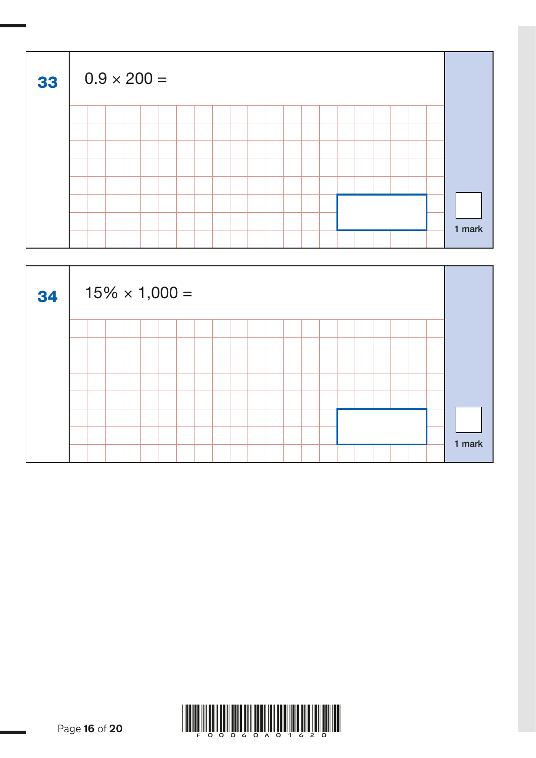| 33 | $0.9 \times 200 =$ |  |  |  |  |  |  |  |  |  |  |  |  |  |  |  |  |  |        |
|----|--------------------|--|--|--|--|--|--|--|--|--|--|--|--|--|--|--|--|--|--------|
|    |                    |  |  |  |  |  |  |  |  |  |  |  |  |  |  |  |  |  |        |
|    |                    |  |  |  |  |  |  |  |  |  |  |  |  |  |  |  |  |  |        |
|    |                    |  |  |  |  |  |  |  |  |  |  |  |  |  |  |  |  |  |        |
|    |                    |  |  |  |  |  |  |  |  |  |  |  |  |  |  |  |  |  |        |
|    |                    |  |  |  |  |  |  |  |  |  |  |  |  |  |  |  |  |  |        |
|    |                    |  |  |  |  |  |  |  |  |  |  |  |  |  |  |  |  |  |        |
|    |                    |  |  |  |  |  |  |  |  |  |  |  |  |  |  |  |  |  | 1 mark |
|    |                    |  |  |  |  |  |  |  |  |  |  |  |  |  |  |  |  |  |        |



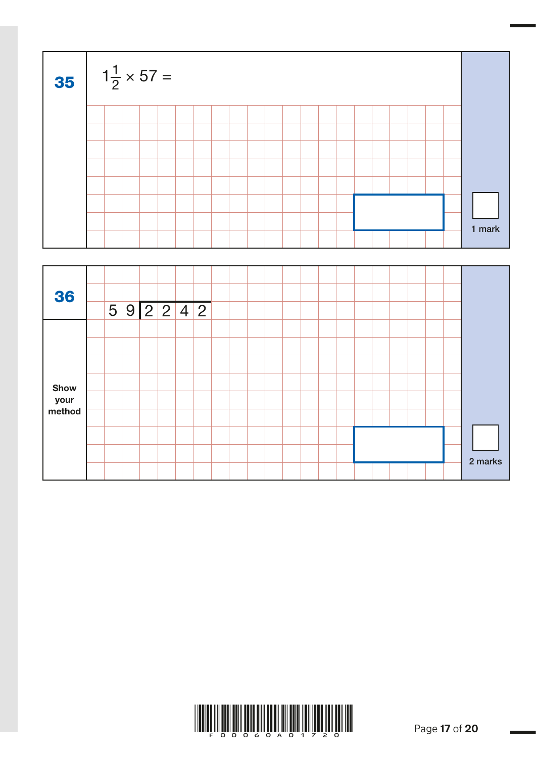| <b>35</b> $1\frac{1}{2} \times 57 =$ |  |  |  |  |  |  |  |  |  |  |  |  |  |  |  |  |  |        |
|--------------------------------------|--|--|--|--|--|--|--|--|--|--|--|--|--|--|--|--|--|--------|
|                                      |  |  |  |  |  |  |  |  |  |  |  |  |  |  |  |  |  |        |
|                                      |  |  |  |  |  |  |  |  |  |  |  |  |  |  |  |  |  |        |
|                                      |  |  |  |  |  |  |  |  |  |  |  |  |  |  |  |  |  |        |
|                                      |  |  |  |  |  |  |  |  |  |  |  |  |  |  |  |  |  |        |
|                                      |  |  |  |  |  |  |  |  |  |  |  |  |  |  |  |  |  |        |
|                                      |  |  |  |  |  |  |  |  |  |  |  |  |  |  |  |  |  |        |
|                                      |  |  |  |  |  |  |  |  |  |  |  |  |  |  |  |  |  | 1 mark |
|                                      |  |  |  |  |  |  |  |  |  |  |  |  |  |  |  |  |  |        |

| 36                     |  |  | 5 9 2 2 4 2 |  |  |  |  |  |  |  |         |
|------------------------|--|--|-------------|--|--|--|--|--|--|--|---------|
|                        |  |  |             |  |  |  |  |  |  |  |         |
| Show<br>your<br>method |  |  |             |  |  |  |  |  |  |  |         |
|                        |  |  |             |  |  |  |  |  |  |  |         |
|                        |  |  |             |  |  |  |  |  |  |  | 2 marks |

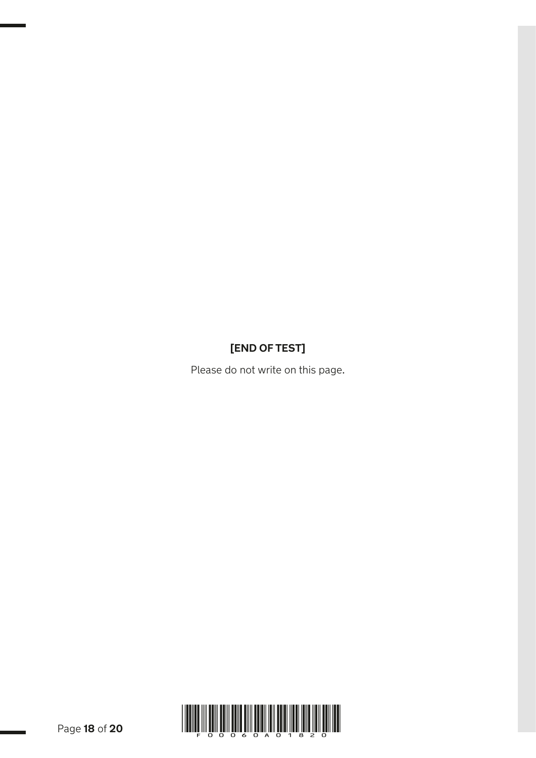## **[END OF TEST]**

Please do not write on this page.

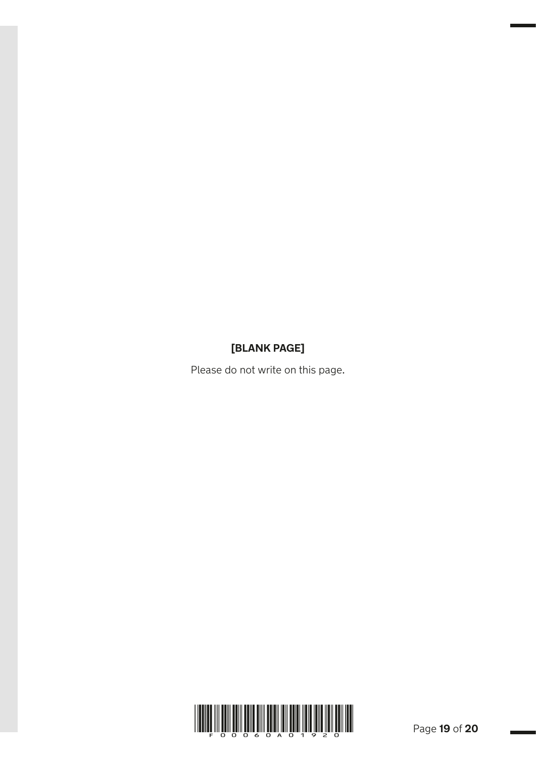### **[BLANK PAGE]**

Please do not write on this page.